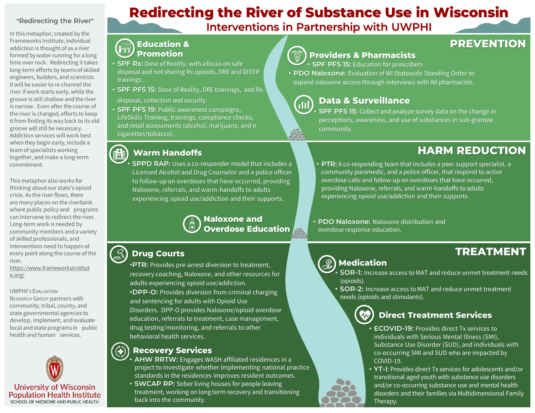#### **"Redirecting the River"**

In this metaphor, created by the Frameworks Institute, individual addiction is thought of as a river formed by water running for a long time over rock. Redirecting it takes long-term efforts by teams of skilled engineers, builders, and scientists. It will be easier to re-channel the river if work starts early, while the groove is still shallow and the river is narrow. Even after the course of the river is changed, efforts to keep it from finding its way back to its old groove will still be necessary. Addiction services will work best when they begin early, include a team of specialists working together, and make a long-term commitment.

This metaphor also works for thinking about our state's opioid crisis. As the river flows, there are many places on the riverbank where public policy and programs can intervene to redirect the river. Long-term work is needed by community members and a variety of skilled professionals, and interventions need to happen at every point along the course of the river.

https://www.frameworksinstitut e.org/

UWPHI'S EVALUATION

RESEARCH GROUP partners with community, tribal, county, and state governmental agencies to develop, implement, and evaluate local and state programs in public health and human services.



# **Redirecting the River of Substance Use in Wisconsin**

**Interventions in Partnership with UWPHI**

#### **Education &**  侢 **Promotion**

- **SPF Rx:** Dose of Reality, with afocus on safe disposal and not sharing Rx opioids, DRE and DITEP trainings.
- **SPF PFS 15:** Dose of Reality, DRE trainings, and Rx disposal, collection and security.
- **SPF PFS 19:** Public awareness campaigns, LifeSkills Training, trainings, compliance checks, and retail assessments (alcohol, marijuana, and ecigarettes/tobacco).

#### **Warm Handoffs**

**SPPD RAP:** Uses a co-responder model that includes a Licensed Alcohol and Drug Counselor and a police officer to follow-up on overdoses that have occurred, providing Naloxone, referrals, and warm-handoffs to adults experiencing opioid use/addiction and their supports.

> **Naloxone and Overdose Education**

#### $\circled{c}$ **Drug Courts**

•**PTR:** Provides pre-arrest diversion to treatment, recovery coaching, Naloxone, and other resources for adults experiencing opioid use/addiction. •**DPP-O:** Provides diversion from criminal charging and sentencing for adults with Opioid Use Disorders. DPP-O provides Naloxone/opioid overdose education, referrals to treatment, case management, drug testing/monitoring, and referrals to other behavioral health services.

#### **Recovery Services**

• **AHW RRTW:** Engages WASH affiliated residences in a project to investigate whether implementing national practice standards in the residences improves resident outcomes.

• **SWCAP RP:** Sober living houses for people leaving treatment, working on long term recovery and transitioning back into the community.



#### **Providers & Pharmacists**

• **SPF PFS 15:** Education for prescribers

• **PDO Naloxone:** Evaluation of WI Statewide Standing Order to expand naloxone access through interviews with WI pharmacists.



#### **Data & Surveillance**

• **SPF PFS 15:** Collect and analyze survey data on the change in perceptions, awareness, and use of substances in sub-grantee community.

## **HARM REDUCTION**

- **PTR:** A co-responding team that includes a peer support specialist, a community paramedic, and a police officer, that respond to active overdose calls and follow-up on overdoses that have occurred, providing Naloxone, referrals, and warm-handoffs to adults experiencing opioid use/addiction and their supports.
- **PDO Naloxone:** Naloxone distribution and overdose response education.

### **TREATMENT**



#### **Medication**

- **SOR-1:** Increase access to MAT and reduce unmet treatment needs (opioids).
- **SOR-2:** Increase access to MAT and reduce unmet treatment needs (opioids and stimulants).

#### **Direct Treatment Services**

- **ECOVID-19:** Provides direct Tx services to individuals with Serious Mental Illness (SMI), Substance Use Disorder (SUD), and individuals with co-occurring SMI and SUD who are impacted by COVID-19.
- **YT-I**: Provides direct Tx services for adolescents and/or transitional aged youth with substance use disorders and/or co-occurring substance use and mental health disorders and their families via Multidimensional Family Therapy.